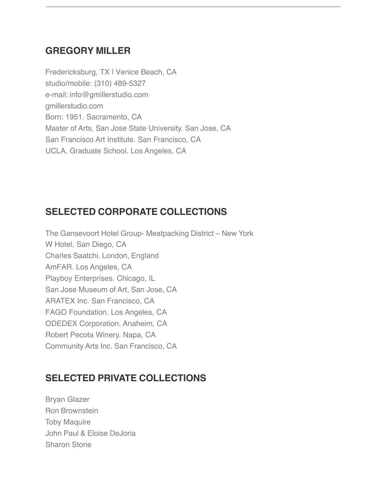## **GREGORY MILLER**

Fredericksburg, TX | Venice Beach, CA studio/mobile: (310) 489-5327 e-mail: [info@gmillerstudio.com](mailto:info@gmillerstudio.com) gmillerstudio.com Born: 1951. Sacramento, CA Master of Arts, San Jose State University. San Jose, CA San Francisco Art Institute. San Francisco, CA UCLA, Graduate School. Los Angeles, CA

# **SELECTED CORPORATE COLLECTIONS**

The Gansevoort Hotel Group- Meatpacking District – New York W Hotel, San Diego, CA Charles Saatchi. London, England AmFAR. Los Angeles, CA Playboy Enterprises. Chicago, IL San Jose Museum of Art, San Jose, CA ARATEX Inc. San Francisco, CA FAGO Foundation. Los Angeles, CA ODEDEX Corporation. Anaheim, CA Robert Pecota Winery. Napa, CA Community Arts Inc. San Francisco, CA

# **SELECTED PRIVATE COLLECTIONS**

Bryan Glazer Ron Brownstein Toby Maquire John Paul & Eloise DeJoria Sharon Stone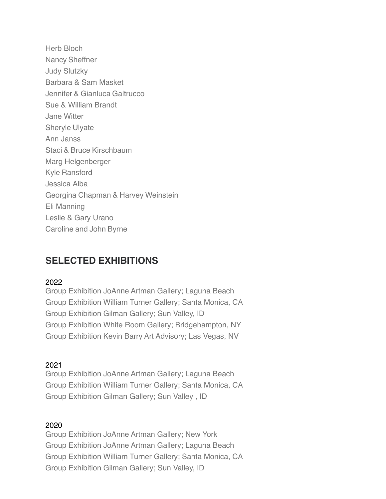Herb Bloch Nancy Sheffner Judy Slutzky Barbara & Sam Masket Jennifer & Gianluca Galtrucco Sue & William Brandt Jane Witter Sheryle Ulyate Ann Janss Staci & Bruce Kirschbaum Marg Helgenberger Kyle Ransford Jessica Alba Georgina Chapman & Harvey Weinstein Eli Manning Leslie & Gary Urano Caroline and John Byrne

### **SELECTED EXHIBITIONS**

#### 2022

Group Exhibition JoAnne Artman Gallery; Laguna Beach Group Exhibition William Turner Gallery; Santa Monica, CA Group Exhibition Gilman Gallery; Sun Valley, ID Group Exhibition White Room Gallery; Bridgehampton, NY Group Exhibition Kevin Barry Art Advisory; Las Vegas, NV

#### 2021

Group Exhibition JoAnne Artman Gallery; Laguna Beach Group Exhibition William Turner Gallery; Santa Monica, CA Group Exhibition Gilman Gallery; Sun Valley , ID

#### 2020

Group Exhibition JoAnne Artman Gallery; New York Group Exhibition JoAnne Artman Gallery; Laguna Beach Group Exhibition William Turner Gallery; Santa Monica, CA Group Exhibition Gilman Gallery; Sun Valley, ID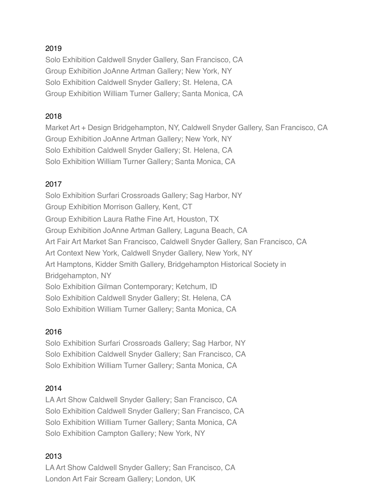Solo Exhibition Caldwell Snyder Gallery, San Francisco, CA Group Exhibition JoAnne Artman Gallery; New York, NY Solo Exhibition Caldwell Snyder Gallery; St. Helena, CA Group Exhibition William Turner Gallery; Santa Monica, CA

### 2018

Market Art + Design Bridgehampton, NY, Caldwell Snyder Gallery, San Francisco, CA Group Exhibition JoAnne Artman Gallery; New York, NY Solo Exhibition Caldwell Snyder Gallery; St. Helena, CA Solo Exhibition William Turner Gallery; Santa Monica, CA

### 2017

Solo Exhibition Surfari Crossroads Gallery; Sag Harbor, NY Group Exhibition Morrison Gallery, Kent, CT Group Exhibition Laura Rathe Fine Art, Houston, TX Group Exhibition JoAnne Artman Gallery, Laguna Beach, CA Art Fair Art Market San Francisco, Caldwell Snyder Gallery, San Francisco, CA Art Context New York, Caldwell Snyder Gallery, New York, NY Art Hamptons, Kidder Smith Gallery, Bridgehampton Historical Society in Bridgehampton, NY Solo Exhibition Gilman Contemporary; Ketchum, ID Solo Exhibition Caldwell Snyder Gallery; St. Helena, CA Solo Exhibition William Turner Gallery; Santa Monica, CA

### 2016

Solo Exhibition Surfari Crossroads Gallery; Sag Harbor, NY Solo Exhibition Caldwell Snyder Gallery; San Francisco, CA Solo Exhibition William Turner Gallery; Santa Monica, CA

### 2014

LA Art Show Caldwell Snyder Gallery; San Francisco, CA Solo Exhibition Caldwell Snyder Gallery; San Francisco, CA Solo Exhibition William Turner Gallery; Santa Monica, CA Solo Exhibition Campton Gallery; New York, NY

### 2013

LAArt Show Caldwell Snyder Gallery; San Francisco, CA London Art Fair Scream Gallery; London, UK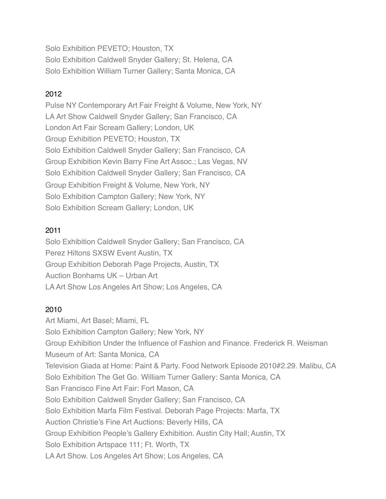Solo Exhibition PEVETO; Houston, TX Solo Exhibition Caldwell Snyder Gallery; St. Helena, CA Solo Exhibition William Turner Gallery; Santa Monica, CA

### 2012

Pulse NY Contemporary Art Fair Freight & Volume, New York, NY LA Art Show Caldwell Snyder Gallery; San Francisco, CA London Art Fair Scream Gallery; London, UK Group Exhibition PEVETO; Houston, TX Solo Exhibition Caldwell Snyder Gallery; San Francisco, CA Group Exhibition Kevin Barry Fine Art Assoc.; Las Vegas, NV Solo Exhibition Caldwell Snyder Gallery; San Francisco, CA Group Exhibition Freight & Volume, New York, NY Solo Exhibition Campton Gallery; New York, NY Solo Exhibition Scream Gallery; London, UK

#### 2011

Solo Exhibition Caldwell Snyder Gallery; San Francisco, CA Perez Hiltons SXSW Event Austin, TX Group Exhibition Deborah Page Projects, Austin, TX Auction Bonhams UK – Urban Art LAArt Show Los Angeles Art Show; Los Angeles, CA

#### 2010

Art Miami, Art Basel; Miami, FL Solo Exhibition Campton Gallery; New York, NY Group Exhibition Under the Influence of Fashion and Finance. Frederick R. Weisman Museum of Art: Santa Monica, CA Television Giada at Home: Paint & Party. Food Network Episode 2010#2.29. Malibu, CA Solo Exhibition The Get Go. William Turner Gallery: Santa Monica, CA San Francisco Fine Art Fair: Fort Mason, CA Solo Exhibition Caldwell Snyder Gallery; San Francisco, CA Solo Exhibition Marfa Film Festival. Deborah Page Projects: Marfa, TX Auction Christie's Fine Art Auctions: Beverly Hills, CA Group Exhibition People's Gallery Exhibition. Austin City Hall; Austin, TX Solo Exhibition Artspace 111; Ft. Worth, TX LAArt Show. Los Angeles Art Show; Los Angeles, CA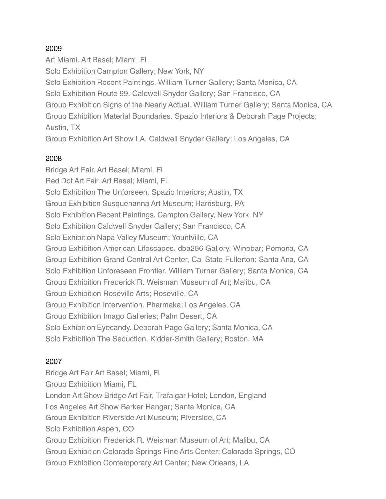Art Miami. Art Basel; Miami, FL Solo Exhibition Campton Gallery; New York, NY Solo Exhibition Recent Paintings. William Turner Gallery; Santa Monica, CA Solo Exhibition Route 99. Caldwell Snyder Gallery; San Francisco, CA Group Exhibition Signs of the Nearly Actual. William Turner Gallery; Santa Monica, CA Group Exhibition Material Boundaries. Spazio Interiors & Deborah Page Projects; Austin, TX Group Exhibition Art Show LA. Caldwell Snyder Gallery; Los Angeles, CA

### 2008

Bridge Art Fair. Art Basel; Miami, FL Red Dot Art Fair. Art Basel; Miami, FL Solo Exhibition The Unforseen. Spazio Interiors; Austin, TX Group Exhibition Susquehanna Art Museum; Harrisburg, PA Solo Exhibition Recent Paintings. Campton Gallery, New York, NY Solo Exhibition Caldwell Snyder Gallery; San Francisco, CA Solo Exhibition Napa Valley Museum; Yountville, CA Group Exhibition American Lifescapes. dba256 Gallery. Winebar; Pomona, CA Group Exhibition Grand Central Art Center, Cal State Fullerton; Santa Ana, CA Solo Exhibition Unforeseen Frontier. William Turner Gallery; Santa Monica, CA Group Exhibition Frederick R. Weisman Museum of Art; Malibu, CA Group Exhibition Roseville Arts; Roseville, CA Group Exhibition Intervention. Pharmaka; Los Angeles, CA Group Exhibition Imago Galleries; Palm Desert, CA Solo Exhibition Eyecandy. Deborah Page Gallery; Santa Monica, CA Solo Exhibition The Seduction. Kidder-Smith Gallery; Boston, MA

#### 2007

Bridge Art Fair Art Basel; Miami, FL Group Exhibition Miami, FL London Art Show Bridge Art Fair, Trafalgar Hotel; London, England Los Angeles Art Show Barker Hangar; Santa Monica, CA Group Exhibition Riverside Art Museum; Riverside, CA Solo Exhibition Aspen, CO Group Exhibition Frederick R. Weisman Museum of Art; Malibu, CA Group Exhibition Colorado Springs Fine Arts Center; Colorado Springs, CO Group Exhibition Contemporary Art Center; New Orleans, LA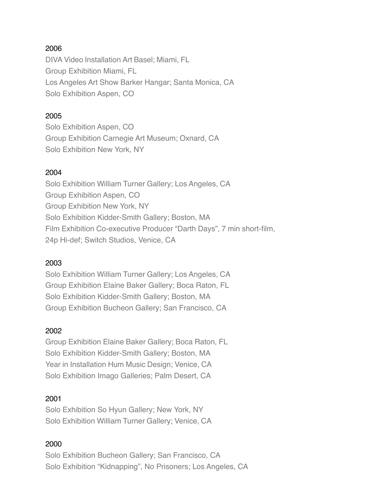DIVA Video Installation Art Basel; Miami, FL Group Exhibition Miami, FL Los Angeles Art Show Barker Hangar; Santa Monica, CA Solo Exhibition Aspen, CO

#### 2005

Solo Exhibition Aspen, CO Group Exhibition Carnegie Art Museum; Oxnard, CA Solo Exhibition New York, NY

#### 2004

Solo Exhibition William Turner Gallery; Los Angeles, CA Group Exhibition Aspen, CO Group Exhibition New York, NY Solo Exhibition Kidder-Smith Gallery; Boston, MA Film Exhibition Co-executive Producer "Darth Days", 7 min short-film, 24p Hi-def; Switch Studios, Venice, CA

#### 2003

Solo Exhibition William Turner Gallery; Los Angeles, CA Group Exhibition Elaine Baker Gallery; Boca Raton, FL Solo Exhibition Kidder-Smith Gallery; Boston, MA Group Exhibition Bucheon Gallery; San Francisco, CA

#### 2002

Group Exhibition Elaine Baker Gallery; Boca Raton, FL Solo Exhibition Kidder-Smith Gallery; Boston, MA Year in Installation Hum Music Design; Venice, CA Solo Exhibition Imago Galleries; Palm Desert, CA

#### 2001

Solo Exhibition So Hyun Gallery; New York, NY Solo Exhibition William Turner Gallery; Venice, CA

#### 2000

Solo Exhibition Bucheon Gallery; San Francisco, CA Solo Exhibition "Kidnapping", No Prisoners; Los Angeles, CA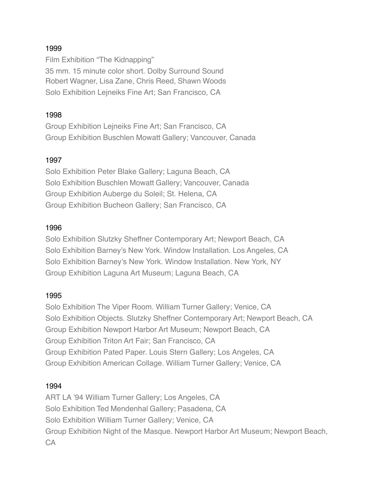Film Exhibition "The Kidnapping" 35 mm. 15 minute color short. Dolby Surround Sound Robert Wagner, Lisa Zane, Chris Reed, Shawn Woods Solo Exhibition Lejneiks Fine Art; San Francisco, CA

#### 1998

Group Exhibition Lejneiks Fine Art; San Francisco, CA Group Exhibition Buschlen Mowatt Gallery; Vancouver, Canada

### 1997

Solo Exhibition Peter Blake Gallery; Laguna Beach, CA Solo Exhibition Buschlen Mowatt Gallery; Vancouver, Canada Group Exhibition Auberge du Soleil; St. Helena, CA Group Exhibition Bucheon Gallery; San Francisco, CA

#### 1996

Solo Exhibition Slutzky Sheffner Contemporary Art; Newport Beach, CA Solo Exhibition Barney's New York. Window Installation. Los Angeles, CA Solo Exhibition Barney's New York. Window Installation. New York, NY Group Exhibition Laguna Art Museum; Laguna Beach, CA

#### 1995

Solo Exhibition The Viper Room. William Turner Gallery; Venice, CA Solo Exhibition Objects. Slutzky Sheffner Contemporary Art; Newport Beach, CA Group Exhibition Newport Harbor Art Museum; Newport Beach, CA Group Exhibition Triton Art Fair; San Francisco, CA Group Exhibition Pated Paper. Louis Stern Gallery; Los Angeles, CA Group Exhibition American Collage. William Turner Gallery; Venice, CA

#### 1994

ART LA '94 William Turner Gallery; Los Angeles, CA Solo Exhibition Ted Mendenhal Gallery; Pasadena, CA Solo Exhibition William Turner Gallery; Venice, CA Group Exhibition Night of the Masque. Newport Harbor Art Museum; Newport Beach, CA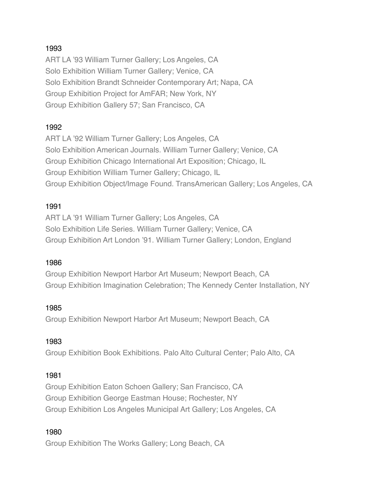ART LA '93 William Turner Gallery; Los Angeles, CA Solo Exhibition William Turner Gallery; Venice, CA Solo Exhibition Brandt Schneider Contemporary Art; Napa, CA Group Exhibition Project for AmFAR; New York, NY Group Exhibition Gallery 57; San Francisco, CA

#### 1992

ART LA '92 William Turner Gallery; Los Angeles, CA Solo Exhibition American Journals. William Turner Gallery; Venice, CA Group Exhibition Chicago International Art Exposition; Chicago, IL Group Exhibition William Turner Gallery; Chicago, IL Group Exhibition Object/Image Found. TransAmerican Gallery; Los Angeles, CA

### 1991

ART LA '91 William Turner Gallery; Los Angeles, CA Solo Exhibition Life Series. William Turner Gallery; Venice, CA Group Exhibition Art London '91. William Turner Gallery; London, England

#### 1986

Group Exhibition Newport Harbor Art Museum; Newport Beach, CA Group Exhibition Imagination Celebration; The Kennedy Center Installation, NY

#### 1985

Group Exhibition Newport Harbor Art Museum; Newport Beach, CA

#### 1983

Group Exhibition Book Exhibitions. Palo Alto Cultural Center; Palo Alto, CA

#### 1981

Group Exhibition Eaton Schoen Gallery; San Francisco, CA Group Exhibition George Eastman House; Rochester, NY Group Exhibition Los Angeles Municipal Art Gallery; Los Angeles, CA

1980 Group Exhibition The Works Gallery; Long Beach, CA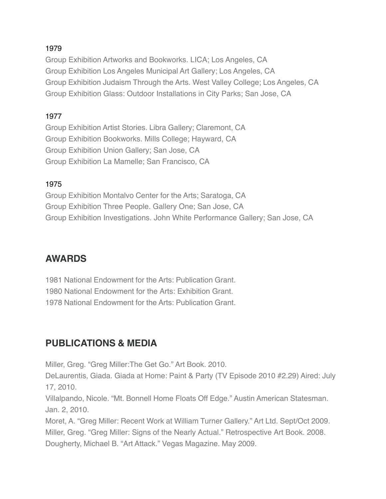Group Exhibition Artworks and Bookworks. LICA; Los Angeles, CA Group Exhibition Los Angeles Municipal Art Gallery; Los Angeles, CA Group Exhibition Judaism Through the Arts. West Valley College; Los Angeles, CA Group Exhibition Glass: Outdoor Installations in City Parks; San Jose, CA

### 1977

Group Exhibition Artist Stories. Libra Gallery; Claremont, CA Group Exhibition Bookworks. Mills College; Hayward, CA Group Exhibition Union Gallery; San Jose, CA Group Exhibition La Mamelle; San Francisco, CA

#### 1975

Group Exhibition Montalvo Center for the Arts; Saratoga, CA Group Exhibition Three People. Gallery One; San Jose, CA Group Exhibition Investigations. John White Performance Gallery; San Jose, CA

# **AWARDS**

1981 National Endowment for the Arts: Publication Grant. 1980 National Endowment for the Arts: Exhibition Grant. 1978 National Endowment for the Arts: Publication Grant.

# **PUBLICATIONS & MEDIA**

Miller, Greg. "Greg Miller:The Get Go." Art Book. 2010.

DeLaurentis, Giada. Giada at Home: Paint & Party (TV Episode 2010 #2.29) Aired: July 17, 2010.

Villalpando, Nicole. "Mt. Bonnell Home Floats Off Edge." Austin American Statesman. Jan. 2, 2010.

Moret, A. "Greg Miller: Recent Work at William Turner Gallery." Art Ltd. Sept/Oct 2009. Miller, Greg. "Greg Miller: Signs of the Nearly Actual." Retrospective Art Book. 2008. Dougherty, Michael B. "Art Attack." Vegas Magazine. May 2009.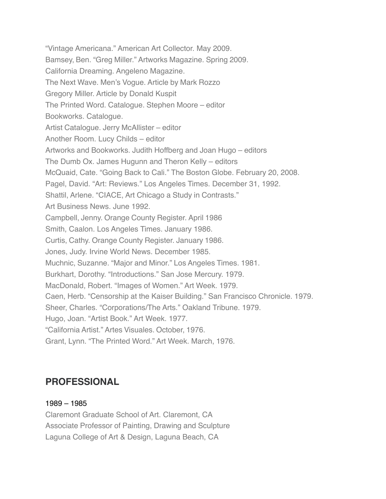"Vintage Americana." American Art Collector. May 2009. Bamsey, Ben. "Greg Miller." Artworks Magazine. Spring 2009. California Dreaming. Angeleno Magazine. The Next Wave. Men's Vogue. Article by Mark Rozzo Gregory Miller. Article by Donald Kuspit The Printed Word. Catalogue. Stephen Moore – editor Bookworks. Catalogue. Artist Catalogue. Jerry McAllister – editor Another Room. Lucy Childs – editor Artworks and Bookworks. Judith Hoffberg and Joan Hugo – editors The Dumb Ox. James Hugunn and Theron Kelly – editors McQuaid, Cate. "Going Back to Cali." The Boston Globe. February 20, 2008. Pagel, David. "Art: Reviews." Los Angeles Times. December 31, 1992. Shattil, Arlene. "CIACE, Art Chicago a Study in Contrasts." Art Business News. June 1992. Campbell, Jenny. Orange County Register. April 1986 Smith, Caalon. Los Angeles Times. January 1986. Curtis, Cathy. Orange County Register. January 1986. Jones, Judy. Irvine World News. December 1985. Muchnic, Suzanne. "Major and Minor." Los Angeles Times. 1981. Burkhart, Dorothy. "Introductions." San Jose Mercury. 1979. MacDonald, Robert. "Images of Women." Art Week. 1979. Caen, Herb. "Censorship at the Kaiser Building." San Francisco Chronicle. 1979. Sheer, Charles. "Corporations/The Arts." Oakland Tribune. 1979. Hugo, Joan. "Artist Book." Art Week. 1977. "California Artist." Artes Visuales. October, 1976. Grant, Lynn. "The Printed Word." Art Week. March, 1976.

# **PROFESSIONAL**

#### 1989 – 1985

Claremont Graduate School of Art. Claremont, CA Associate Professor of Painting, Drawing and Sculpture Laguna College of Art & Design, Laguna Beach, CA